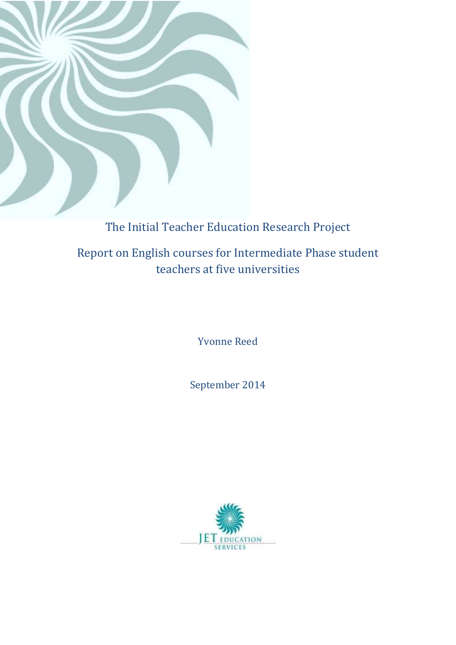

# The Initial Teacher Education Research Project

Report on English courses for Intermediate Phase student teachers at five universities

Yvonne Reed

September 2014

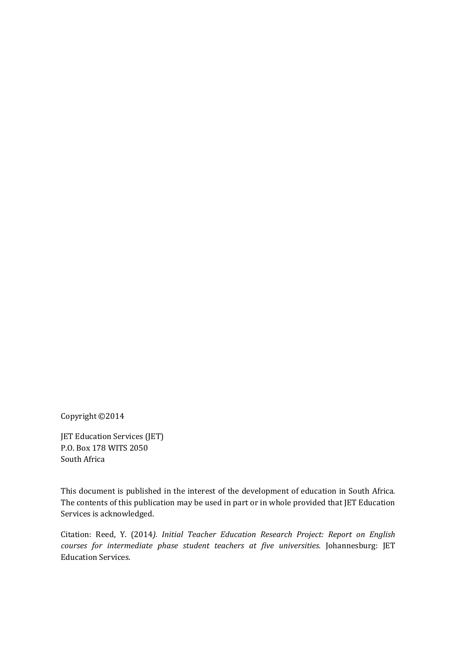Copyright ©2014

JET Education Services (JET) P.O. Box 178 WITS 2050 South Africa

This document is published in the interest of the development of education in South Africa. The contents of this publication may be used in part or in whole provided that JET Education Services is acknowledged.

Citation: Reed, Y. (2014*). Initial Teacher Education Research Project: Report on English courses for intermediate phase student teachers at five universities.* Johannesburg: JET Education Services.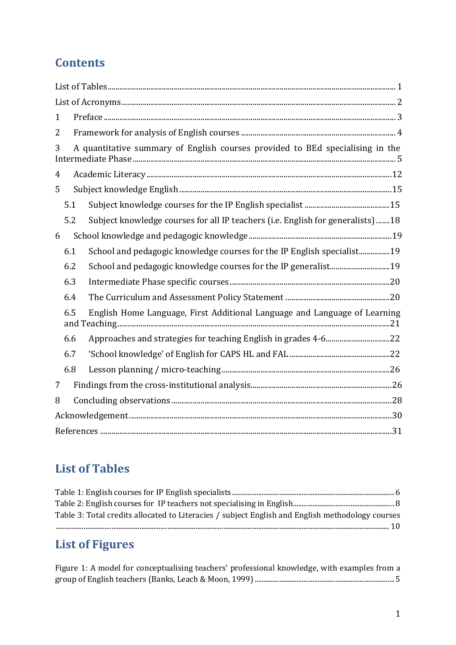# **Contents**

| $\mathbf{1}$   |     |  |                                                                                 |  |  |  |  |
|----------------|-----|--|---------------------------------------------------------------------------------|--|--|--|--|
| 2              |     |  |                                                                                 |  |  |  |  |
| 3              |     |  | A quantitative summary of English courses provided to BEd specialising in the   |  |  |  |  |
| $\overline{4}$ |     |  |                                                                                 |  |  |  |  |
| 5              |     |  |                                                                                 |  |  |  |  |
|                | 5.1 |  |                                                                                 |  |  |  |  |
|                | 5.2 |  | Subject knowledge courses for all IP teachers (i.e. English for generalists) 18 |  |  |  |  |
| 6              |     |  |                                                                                 |  |  |  |  |
|                | 6.1 |  | School and pedagogic knowledge courses for the IP English specialist19          |  |  |  |  |
|                | 6.2 |  |                                                                                 |  |  |  |  |
|                | 6.3 |  |                                                                                 |  |  |  |  |
|                | 6.4 |  |                                                                                 |  |  |  |  |
|                | 6.5 |  | English Home Language, First Additional Language and Language of Learning       |  |  |  |  |
|                | 6.6 |  |                                                                                 |  |  |  |  |
|                | 6.7 |  |                                                                                 |  |  |  |  |
|                | 6.8 |  |                                                                                 |  |  |  |  |
| 7              |     |  |                                                                                 |  |  |  |  |
| 8              |     |  |                                                                                 |  |  |  |  |
|                |     |  |                                                                                 |  |  |  |  |
|                |     |  |                                                                                 |  |  |  |  |

# <span id="page-2-0"></span>**List of Tables**

| Table 3: Total credits allocated to Literacies / subject English and English methodology courses |  |
|--------------------------------------------------------------------------------------------------|--|
|                                                                                                  |  |

# **List of Figures**

| Figure 1: A model for conceptualising teachers' professional knowledge, with examples from a |  |
|----------------------------------------------------------------------------------------------|--|
|                                                                                              |  |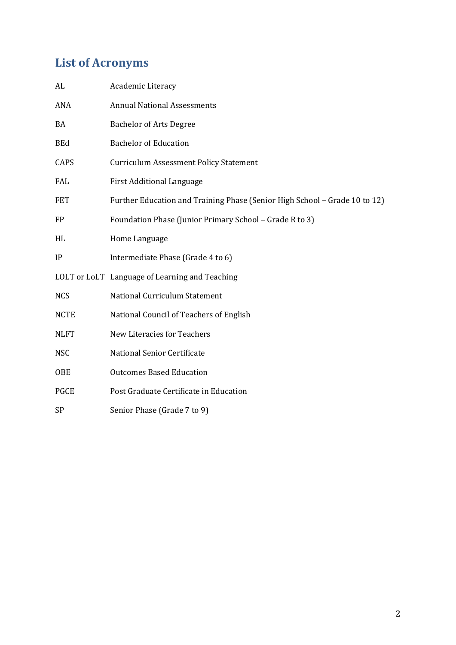# <span id="page-3-0"></span>**List of Acronyms**

| AL          | Academic Literacy                                                          |
|-------------|----------------------------------------------------------------------------|
| ANA         | <b>Annual National Assessments</b>                                         |
| BA          | <b>Bachelor of Arts Degree</b>                                             |
| <b>BEd</b>  | <b>Bachelor of Education</b>                                               |
| CAPS        | <b>Curriculum Assessment Policy Statement</b>                              |
| FAL         | <b>First Additional Language</b>                                           |
| <b>FET</b>  | Further Education and Training Phase (Senior High School - Grade 10 to 12) |
| <b>FP</b>   | Foundation Phase (Junior Primary School - Grade R to 3)                    |
| HL          | Home Language                                                              |
| IP          | Intermediate Phase (Grade 4 to 6)                                          |
|             | LOLT or LoLT Language of Learning and Teaching                             |
| <b>NCS</b>  | National Curriculum Statement                                              |
| <b>NCTE</b> | National Council of Teachers of English                                    |
| <b>NLFT</b> | <b>New Literacies for Teachers</b>                                         |
| <b>NSC</b>  | National Senior Certificate                                                |
| <b>OBE</b>  | <b>Outcomes Based Education</b>                                            |
| <b>PGCE</b> | Post Graduate Certificate in Education                                     |
| SP          | Senior Phase (Grade 7 to 9)                                                |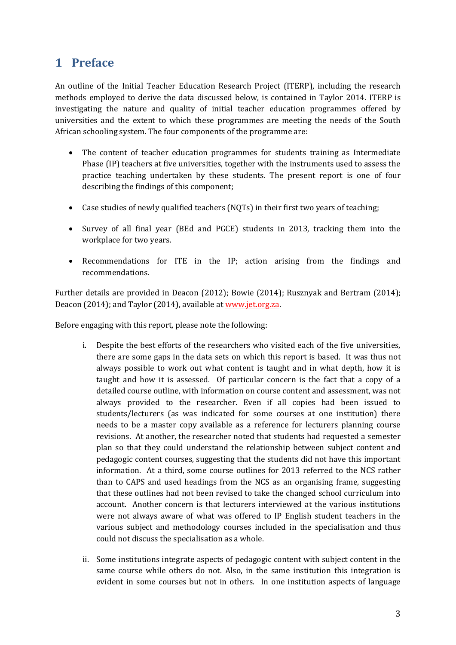## <span id="page-4-0"></span>**1 Preface**

An outline of the Initial Teacher Education Research Project (ITERP), including the research methods employed to derive the data discussed below, is contained in Taylor 2014. ITERP is investigating the nature and quality of initial teacher education programmes offered by universities and the extent to which these programmes are meeting the needs of the South African schooling system. The four components of the programme are:

- The content of teacher education programmes for students training as Intermediate Phase (IP) teachers at five universities, together with the instruments used to assess the practice teaching undertaken by these students. The present report is one of four describing the findings of this component;
- Case studies of newly qualified teachers (NQTs) in their first two years of teaching;
- Survey of all final year (BEd and PGCE) students in 2013, tracking them into the workplace for two years.
- Recommendations for ITE in the IP; action arising from the findings and recommendations.

Further details are provided in Deacon (2012); Bowie (2014); Rusznyak and Bertram (2014); Deacon (2014); and Taylor (2014), available at [www.jet.org.za.](http://www.jet.org.za/)

Before engaging with this report, please note the following:

- i. Despite the best efforts of the researchers who visited each of the five universities, there are some gaps in the data sets on which this report is based. It was thus not always possible to work out what content is taught and in what depth, how it is taught and how it is assessed. Of particular concern is the fact that a copy of a detailed course outline, with information on course content and assessment, was not always provided to the researcher. Even if all copies had been issued to students/lecturers (as was indicated for some courses at one institution) there needs to be a master copy available as a reference for lecturers planning course revisions. At another, the researcher noted that students had requested a semester plan so that they could understand the relationship between subject content and pedagogic content courses, suggesting that the students did not have this important information. At a third, some course outlines for 2013 referred to the NCS rather than to CAPS and used headings from the NCS as an organising frame, suggesting that these outlines had not been revised to take the changed school curriculum into account. Another concern is that lecturers interviewed at the various institutions were not always aware of what was offered to IP English student teachers in the various subject and methodology courses included in the specialisation and thus could not discuss the specialisation as a whole.
- ii. Some institutions integrate aspects of pedagogic content with subject content in the same course while others do not. Also, in the same institution this integration is evident in some courses but not in others. In one institution aspects of language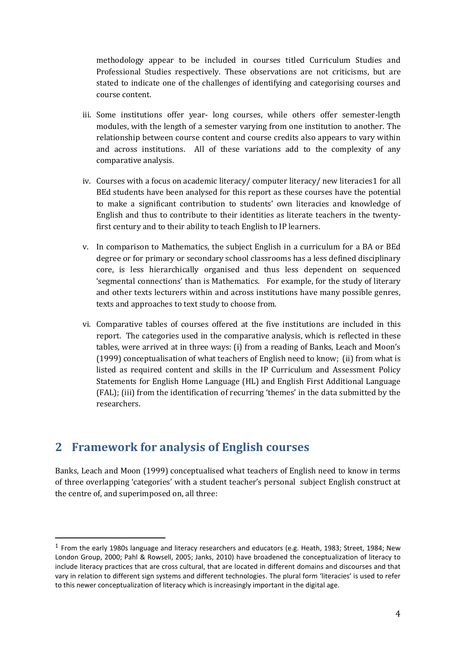methodology appear to be included in courses titled Curriculum Studies and Professional Studies respectively. These observations are not criticisms, but are stated to indicate one of the challenges of identifying and categorising courses and course content.

- iii. Some institutions offer year- long courses, while others offer semester-length modules, with the length of a semester varying from one institution to another. The relationship between course content and course credits also appears to vary within and across institutions. All of these variations add to the complexity of any comparative analysis.
- iv. Courses with a focus on academic literacy/ computer literacy/ new literacies1 for all BEd students have been analysed for this report as these courses have the potential to make a significant contribution to students' own literacies and knowledge of English and thus to contribute to their identities as literate teachers in the twentyfirst century and to their ability to teach English to IP learners.
- v. In comparison to Mathematics, the subject English in a curriculum for a BA or BEd degree or for primary or secondary school classrooms has a less defined disciplinary core, is less hierarchically organised and thus less dependent on sequenced 'segmental connections' than is Mathematics. For example, for the study of literary and other texts lecturers within and across institutions have many possible genres, texts and approaches to text study to choose from.
- vi. Comparative tables of courses offered at the five institutions are included in this report. The categories used in the comparative analysis, which is reflected in these tables, were arrived at in three ways: (i) from a reading of Banks, Leach and Moon's (1999) conceptualisation of what teachers of English need to know; (ii) from what is listed as required content and skills in the IP Curriculum and Assessment Policy Statements for English Home Language (HL) and English First Additional Language (FAL); (iii) from the identification of recurring 'themes' in the data submitted by the researchers.

## <span id="page-5-0"></span>**2 Framework for analysis of English courses**

-

Banks, Leach and Moon (1999) conceptualised what teachers of English need to know in terms of three overlapping 'categories' with a student teacher's personal subject English construct at the centre of, and superimposed on, all three:

 $1$  From the early 1980s language and literacy researchers and educators (e.g. Heath, 1983; Street, 1984; New London Group, 2000; Pahl & Rowsell, 2005; Janks, 2010) have broadened the conceptualization of literacy to include literacy practices that are cross cultural, that are located in different domains and discourses and that vary in relation to different sign systems and different technologies. The plural form 'literacies' is used to refer to this newer conceptualization of literacy which is increasingly important in the digital age.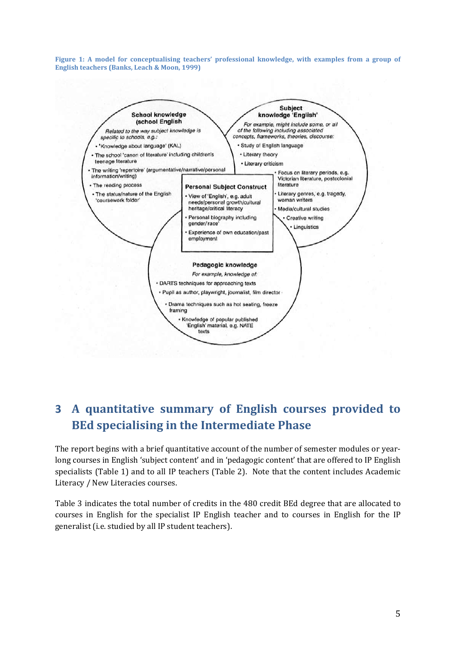<span id="page-6-1"></span>**Figure 1: A model for conceptualising teachers' professional knowledge, with examples from a group of English teachers (Banks, Leach & Moon, 1999)** 



## <span id="page-6-0"></span>**3 A quantitative summary of English courses provided to BEd specialising in the Intermediate Phase**

The report begins with a brief quantitative account of the number of semester modules or yearlong courses in English 'subject content' and in 'pedagogic content' that are offered to IP English specialists [\(Table 1\)](#page-7-0) and to all IP teachers [\(Table 2\)](#page-9-0). Note that the content includes Academic Literacy / New Literacies courses.

[Table 3](#page-11-0) indicates the total number of credits in the 480 credit BEd degree that are allocated to courses in English for the specialist IP English teacher and to courses in English for the IP generalist (i.e. studied by all IP student teachers).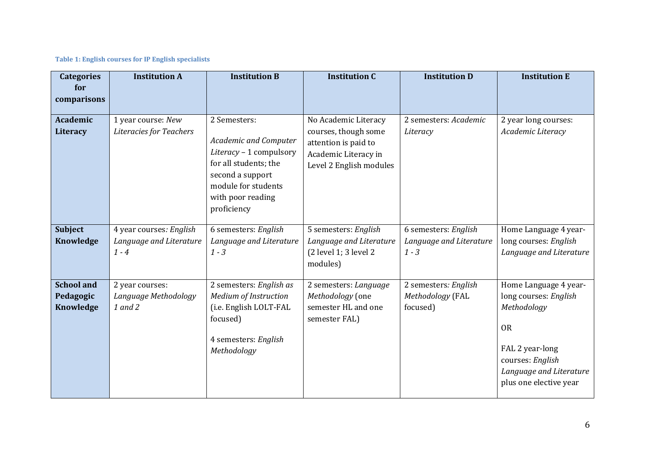#### **Table 1: English courses for IP English specialists**

<span id="page-7-0"></span>

| <b>Categories</b><br>for                    | <b>Institution A</b>                                          | <b>Institution B</b>                                                                                                                                                            | <b>Institution C</b>                                                                                                    | <b>Institution D</b>                                       | <b>Institution E</b>                                                                                                                                                   |
|---------------------------------------------|---------------------------------------------------------------|---------------------------------------------------------------------------------------------------------------------------------------------------------------------------------|-------------------------------------------------------------------------------------------------------------------------|------------------------------------------------------------|------------------------------------------------------------------------------------------------------------------------------------------------------------------------|
| comparisons                                 |                                                               |                                                                                                                                                                                 |                                                                                                                         |                                                            |                                                                                                                                                                        |
| <b>Academic</b><br>Literacy                 | 1 year course: New<br><b>Literacies for Teachers</b>          | 2 Semesters:<br><b>Academic and Computer</b><br>Literacy - 1 compulsory<br>for all students; the<br>second a support<br>module for students<br>with poor reading<br>proficiency | No Academic Literacy<br>courses, though some<br>attention is paid to<br>Academic Literacy in<br>Level 2 English modules | 2 semesters: Academic<br>Literacy                          | 2 year long courses:<br>Academic Literacy                                                                                                                              |
| <b>Subject</b><br>Knowledge                 | 4 year courses: English<br>Language and Literature<br>$1 - 4$ | 6 semesters: English<br>Language and Literature<br>$1 - 3$                                                                                                                      | 5 semesters: English<br>Language and Literature<br>(2 level 1; 3 level 2<br>modules)                                    | 6 semesters: English<br>Language and Literature<br>$1 - 3$ | Home Language 4 year-<br>long courses: English<br>Language and Literature                                                                                              |
| <b>School and</b><br>Pedagogic<br>Knowledge | 2 year courses:<br>Language Methodology<br>1 and 2            | 2 semesters: English as<br>Medium of Instruction<br>(i.e. English LOLT-FAL<br>focused)<br>4 semesters: English<br>Methodology                                                   | 2 semesters: Language<br>Methodology (one<br>semester HL and one<br>semester FAL)                                       | 2 semesters: English<br>Methodology (FAL<br>focused)       | Home Language 4 year-<br>long courses: English<br>Methodology<br><b>OR</b><br>FAL 2 year-long<br>courses: English<br>Language and Literature<br>plus one elective year |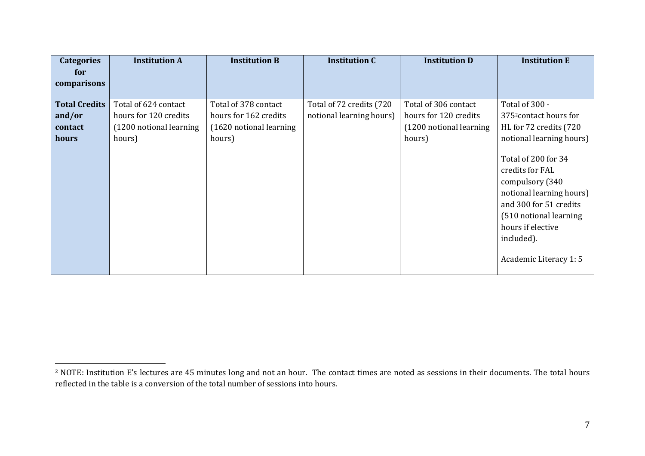| <b>Categories</b>    | <b>Institution A</b>    | <b>Institution B</b>    | <b>Institution C</b>      | <b>Institution D</b>    | <b>Institution E</b>                                                                                                                                                                                  |
|----------------------|-------------------------|-------------------------|---------------------------|-------------------------|-------------------------------------------------------------------------------------------------------------------------------------------------------------------------------------------------------|
| for                  |                         |                         |                           |                         |                                                                                                                                                                                                       |
| comparisons          |                         |                         |                           |                         |                                                                                                                                                                                                       |
| <b>Total Credits</b> | Total of 624 contact    | Total of 378 contact    | Total of 72 credits (720) | Total of 306 contact    | Total of 300 -                                                                                                                                                                                        |
|                      |                         |                         |                           |                         |                                                                                                                                                                                                       |
| and/or               | hours for 120 credits   | hours for 162 credits   | notional learning hours)  | hours for 120 credits   | 375 <sup>2</sup> contact hours for                                                                                                                                                                    |
| contact              | (1200 notional learning | (1620 notional learning |                           | (1200 notional learning | HL for 72 credits (720                                                                                                                                                                                |
| hours                | hours)                  | hours)                  |                           | hours)                  | notional learning hours)                                                                                                                                                                              |
|                      |                         |                         |                           |                         | Total of 200 for 34<br>credits for FAL<br>compulsory (340<br>notional learning hours)<br>and 300 for 51 credits<br>(510 notional learning<br>hours if elective<br>included).<br>Academic Literacy 1:5 |

 $\overline{a}$ 

<sup>&</sup>lt;sup>2</sup> NOTE: Institution E's lectures are 45 minutes long and not an hour. The contact times are noted as sessions in their documents. The total hours reflected in the table is a conversion of the total number of sessions into hours.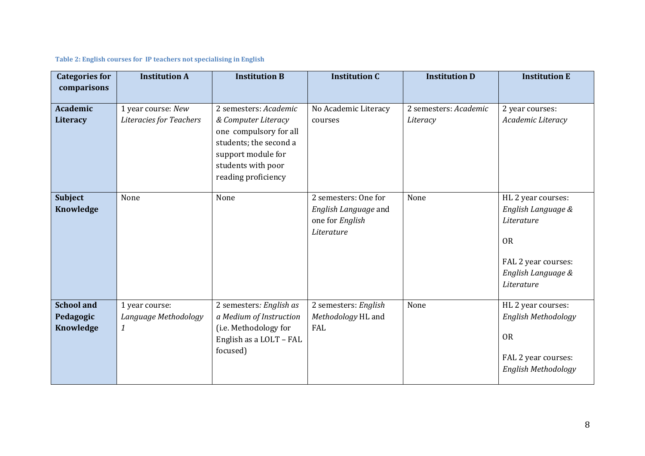#### **Table 2: English courses for IP teachers not specialising in English**

<span id="page-9-0"></span>

| <b>Categories for</b><br>comparisons        | <b>Institution A</b>                                       | <b>Institution B</b>                                                                                                                                                | <b>Institution C</b>                                                          | <b>Institution D</b>              | <b>Institution E</b>                                                                                                           |
|---------------------------------------------|------------------------------------------------------------|---------------------------------------------------------------------------------------------------------------------------------------------------------------------|-------------------------------------------------------------------------------|-----------------------------------|--------------------------------------------------------------------------------------------------------------------------------|
| <b>Academic</b><br>Literacy                 | 1 year course: New<br>Literacies for Teachers              | 2 semesters: Academic<br>& Computer Literacy<br>one compulsory for all<br>students; the second a<br>support module for<br>students with poor<br>reading proficiency | No Academic Literacy<br>courses                                               | 2 semesters: Academic<br>Literacy | 2 year courses:<br>Academic Literacy                                                                                           |
| <b>Subject</b><br>Knowledge                 | None                                                       | None                                                                                                                                                                | 2 semesters: One for<br>English Language and<br>one for English<br>Literature | None                              | HL 2 year courses:<br>English Language &<br>Literature<br><b>OR</b><br>FAL 2 year courses:<br>English Language &<br>Literature |
| <b>School and</b><br>Pedagogic<br>Knowledge | 1 year course:<br>Language Methodology<br>$\boldsymbol{1}$ | 2 semesters: English as<br>a Medium of Instruction<br>(i.e. Methodology for<br>English as a LOLT - FAL<br>focused)                                                  | 2 semesters: English<br>Methodology HL and<br>FAL                             | None                              | HL 2 year courses:<br>English Methodology<br><b>OR</b><br>FAL 2 year courses:<br>English Methodology                           |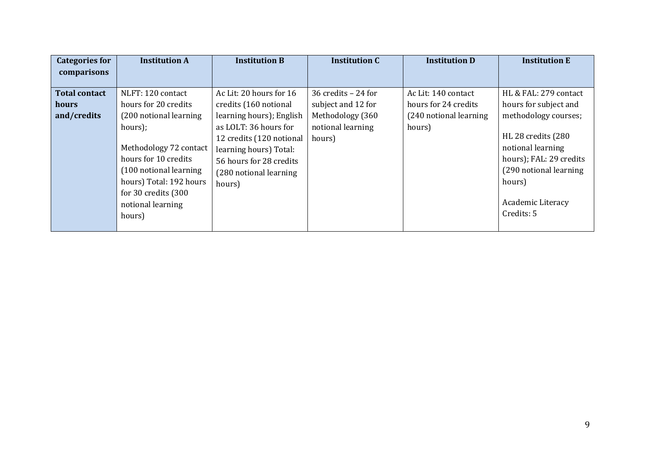| <b>Categories for</b> | <b>Institution A</b>    | <b>Institution B</b>     | <b>Institution C</b> | <b>Institution D</b>    | <b>Institution E</b>    |
|-----------------------|-------------------------|--------------------------|----------------------|-------------------------|-------------------------|
| comparisons           |                         |                          |                      |                         |                         |
|                       |                         |                          |                      |                         |                         |
| <b>Total contact</b>  | NLFT: 120 contact       | Ac Lit: 20 hours for 16  | 36 credits $-24$ for | Ac Lit: 140 contact     | HL & FAL: 279 contact   |
| hours                 | hours for 20 credits    | credits (160 notional    | subject and 12 for   | hours for 24 credits    | hours for subject and   |
| and/credits           | (200 notional learning  | learning hours); English | Methodology (360     | (240 notional learning) | methodology courses;    |
|                       | hours);                 | as LOLT: 36 hours for    | notional learning    | hours)                  |                         |
|                       |                         | 12 credits (120 notional | hours)               |                         | HL 28 credits (280      |
|                       | Methodology 72 contact  | learning hours) Total:   |                      |                         | notional learning       |
|                       | hours for 10 credits    | 56 hours for 28 credits  |                      |                         | hours); FAL: 29 credits |
|                       | (100 notional learning  | (280 notional learning)  |                      |                         | (290 notional learning  |
|                       | hours) Total: 192 hours | hours)                   |                      |                         | hours)                  |
|                       | for 30 credits (300     |                          |                      |                         |                         |
|                       | notional learning       |                          |                      |                         | Academic Literacy       |
|                       | hours)                  |                          |                      |                         | Credits: 5              |
|                       |                         |                          |                      |                         |                         |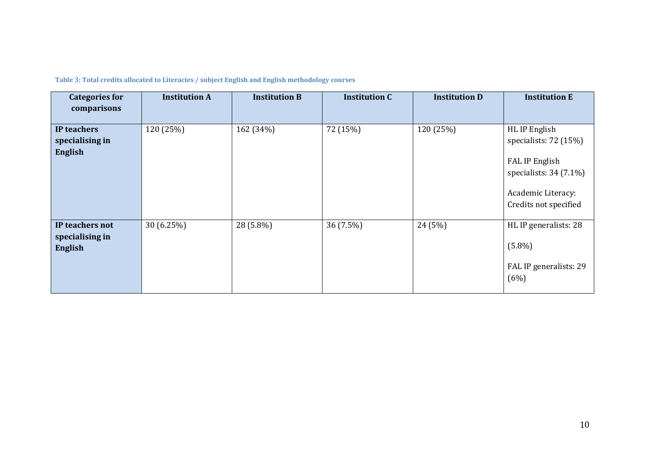<span id="page-11-0"></span>

| <b>Categories for</b><br>comparisons                 | <b>Institution A</b> | <b>Institution B</b> | <b>Institution C</b> | <b>Institution D</b> | <b>Institution E</b>                                                                                                                 |
|------------------------------------------------------|----------------------|----------------------|----------------------|----------------------|--------------------------------------------------------------------------------------------------------------------------------------|
| IP teachers<br>specialising in<br>English            | 120 (25%)            | 162 (34%)            | 72 (15%)             | 120 (25%)            | HL IP English<br>specialists: $72(15%)$<br>FAL IP English<br>specialists: $34(7.1\%)$<br>Academic Literacy:<br>Credits not specified |
| IP teachers not<br>specialising in<br><b>English</b> | 30(6.25%)            | 28 (5.8%)            | 36 (7.5%)            | 24 (5%)              | HL IP generalists: 28<br>$(5.8\%)$<br>FAL IP generalists: 29<br>(6%)                                                                 |

**Table 3: Total credits allocated to Literacies / subject English and English methodology courses**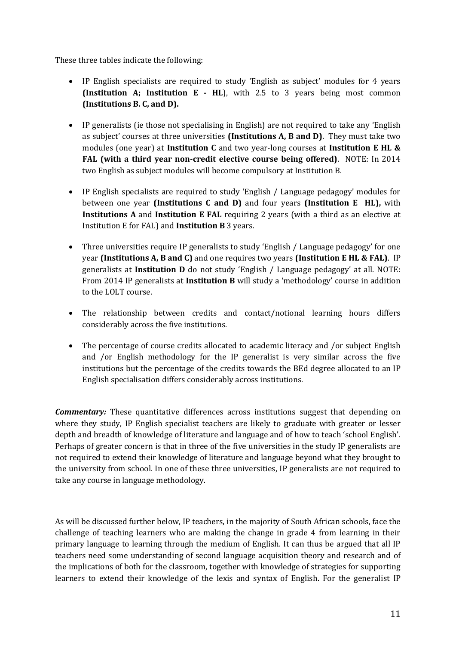These three tables indicate the following:

- IP English specialists are required to study 'English as subject' modules for 4 years **(Institution A; Institution E - HL**), with 2.5 to 3 years being most common **(Institutions B. C, and D).**
- IP generalists (ie those not specialising in English) are not required to take any 'English as subject' courses at three universities **(Institutions A, B and D)**. They must take two modules (one year) at **Institution C** and two year-long courses at **Institution E HL & FAL (with a third year non-credit elective course being offered)**. NOTE: In 2014 two English as subject modules will become compulsory at Institution B.
- IP English specialists are required to study 'English / Language pedagogy' modules for between one year **(Institutions C and D)** and four years **(Institution E HL),** with **Institutions A** and **Institution E FAL** requiring 2 years (with a third as an elective at Institution E for FAL) and **Institution B** 3 years.
- Three universities require IP generalists to study 'English / Language pedagogy' for one year **(Institutions A, B and C)** and one requires two years **(Institution E HL & FAL)**. IP generalists at **Institution D** do not study 'English / Language pedagogy' at all. NOTE: From 2014 IP generalists at **Institution B** will study a 'methodology' course in addition to the LOLT course.
- The relationship between credits and contact/notional learning hours differs considerably across the five institutions.
- The percentage of course credits allocated to academic literacy and /or subject English and /or English methodology for the IP generalist is very similar across the five institutions but the percentage of the credits towards the BEd degree allocated to an IP English specialisation differs considerably across institutions.

*Commentary:* These quantitative differences across institutions suggest that depending on where they study, IP English specialist teachers are likely to graduate with greater or lesser depth and breadth of knowledge of literature and language and of how to teach 'school English'. Perhaps of greater concern is that in three of the five universities in the study IP generalists are not required to extend their knowledge of literature and language beyond what they brought to the university from school. In one of these three universities, IP generalists are not required to take any course in language methodology.

As will be discussed further below, IP teachers, in the majority of South African schools, face the challenge of teaching learners who are making the change in grade 4 from learning in their primary language to learning through the medium of English. It can thus be argued that all IP teachers need some understanding of second language acquisition theory and research and of the implications of both for the classroom, together with knowledge of strategies for supporting learners to extend their knowledge of the lexis and syntax of English. For the generalist IP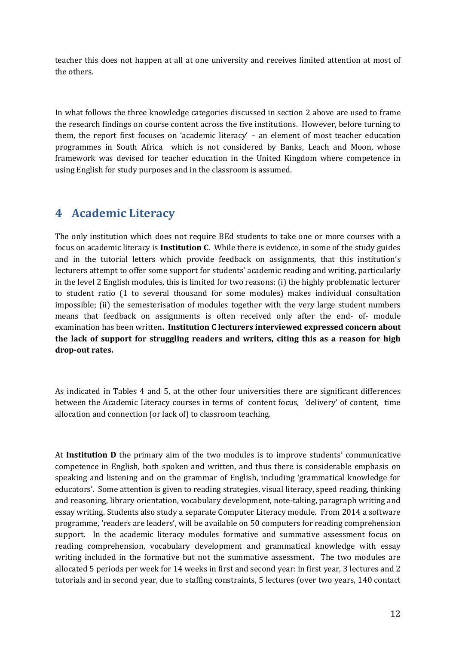teacher this does not happen at all at one university and receives limited attention at most of the others.

In what follows the three knowledge categories discussed in section [2](#page-5-0) above are used to frame the research findings on course content across the five institutions. However, before turning to them, the report first focuses on 'academic literacy' – an element of most teacher education programmes in South Africa which is not considered by Banks, Leach and Moon, whose framework was devised for teacher education in the United Kingdom where competence in using English for study purposes and in the classroom is assumed.

## <span id="page-13-0"></span>**4 Academic Literacy**

The only institution which does not require BEd students to take one or more courses with a focus on academic literacy is **Institution C**. While there is evidence, in some of the study guides and in the tutorial letters which provide feedback on assignments, that this institution's lecturers attempt to offer some support for students' academic reading and writing, particularly in the level 2 English modules, this is limited for two reasons: (i) the highly problematic lecturer to student ratio (1 to several thousand for some modules) makes individual consultation impossible; (ii) the semesterisation of modules together with the very large student numbers means that feedback on assignments is often received only after the end- of- module examination has been written**. Institution C lecturers interviewed expressed concern about the lack of support for struggling readers and writers, citing this as a reason for high drop-out rates.** 

As indicated in Tables 4 and 5, at the other four universities there are significant differences between the Academic Literacy courses in terms of content focus, 'delivery' of content, time allocation and connection (or lack of) to classroom teaching.

At **Institution D** the primary aim of the two modules is to improve students' communicative competence in English, both spoken and written, and thus there is considerable emphasis on speaking and listening and on the grammar of English, including 'grammatical knowledge for educators'. Some attention is given to reading strategies, visual literacy, speed reading, thinking and reasoning, library orientation, vocabulary development, note-taking, paragraph writing and essay writing. Students also study a separate Computer Literacy module. From 2014 a software programme, 'readers are leaders', will be available on 50 computers for reading comprehension support. In the academic literacy modules formative and summative assessment focus on reading comprehension, vocabulary development and grammatical knowledge with essay writing included in the formative but not the summative assessment. The two modules are allocated 5 periods per week for 14 weeks in first and second year: in first year, 3 lectures and 2 tutorials and in second year, due to staffing constraints, 5 lectures (over two years, 140 contact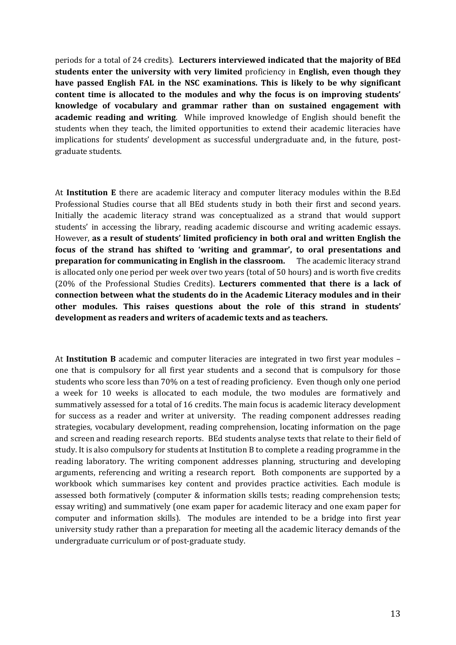periods for a total of 24 credits). **Lecturers interviewed indicated that the majority of BEd students enter the university with very limited** proficiency in **English, even though they have passed English FAL in the NSC examinations. This is likely to be why significant content time is allocated to the modules and why the focus is on improving students' knowledge of vocabulary and grammar rather than on sustained engagement with academic reading and writing**. While improved knowledge of English should benefit the students when they teach, the limited opportunities to extend their academic literacies have implications for students' development as successful undergraduate and, in the future, postgraduate students.

At **Institution E** there are academic literacy and computer literacy modules within the B.Ed Professional Studies course that all BEd students study in both their first and second years. Initially the academic literacy strand was conceptualized as a strand that would support students' in accessing the library, reading academic discourse and writing academic essays. However, **as a result of students' limited proficiency in both oral and written English the focus of the strand has shifted to 'writing and grammar', to oral presentations and preparation for communicating in English in the classroom.** The academic literacy strand is allocated only one period per week over two years (total of 50 hours) and is worth five credits (20% of the Professional Studies Credits). **Lecturers commented that there is a lack of connection between what the students do in the Academic Literacy modules and in their other modules. This raises questions about the role of this strand in students' development as readers and writers of academic texts and as teachers.**

At **Institution B** academic and computer literacies are integrated in two first year modules – one that is compulsory for all first year students and a second that is compulsory for those students who score less than 70% on a test of reading proficiency. Even though only one period a week for 10 weeks is allocated to each module, the two modules are formatively and summatively assessed for a total of 16 credits. The main focus is academic literacy development for success as a reader and writer at university. The reading component addresses reading strategies, vocabulary development, reading comprehension, locating information on the page and screen and reading research reports. BEd students analyse texts that relate to their field of study. It is also compulsory for students at Institution B to complete a reading programme in the reading laboratory. The writing component addresses planning, structuring and developing arguments, referencing and writing a research report. Both components are supported by a workbook which summarises key content and provides practice activities. Each module is assessed both formatively (computer & information skills tests; reading comprehension tests; essay writing) and summatively (one exam paper for academic literacy and one exam paper for computer and information skills). The modules are intended to be a bridge into first year university study rather than a preparation for meeting all the academic literacy demands of the undergraduate curriculum or of post-graduate study.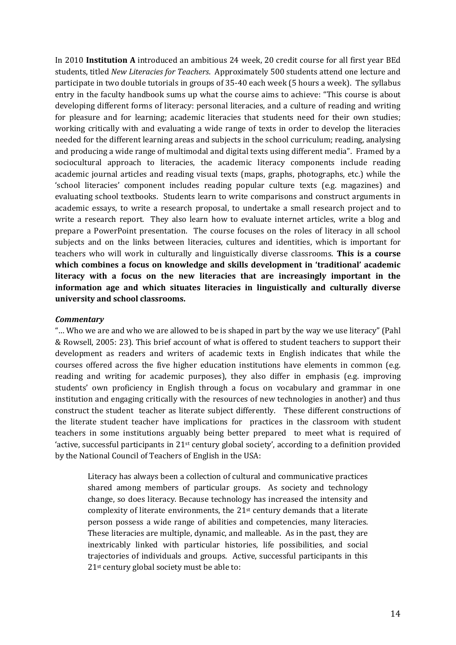In 2010 **Institution A** introduced an ambitious 24 week, 20 credit course for all first year BEd students, titled *New Literacies for Teachers*. Approximately 500 students attend one lecture and participate in two double tutorials in groups of 35-40 each week (5 hours a week). The syllabus entry in the faculty handbook sums up what the course aims to achieve: "This course is about developing different forms of literacy: personal literacies, and a culture of reading and writing for pleasure and for learning; academic literacies that students need for their own studies; working critically with and evaluating a wide range of texts in order to develop the literacies needed for the different learning areas and subjects in the school curriculum; reading, analysing and producing a wide range of multimodal and digital texts using different media". Framed by a sociocultural approach to literacies, the academic literacy components include reading academic journal articles and reading visual texts (maps, graphs, photographs, etc.) while the 'school literacies' component includes reading popular culture texts (e.g. magazines) and evaluating school textbooks. Students learn to write comparisons and construct arguments in academic essays, to write a research proposal, to undertake a small research project and to write a research report. They also learn how to evaluate internet articles, write a blog and prepare a PowerPoint presentation. The course focuses on the roles of literacy in all school subjects and on the links between literacies, cultures and identities, which is important for teachers who will work in culturally and linguistically diverse classrooms. **This is a course which combines a focus on knowledge and skills development in 'traditional' academic literacy with a focus on the new literacies that are increasingly important in the information age and which situates literacies in linguistically and culturally diverse university and school classrooms.** 

#### *Commentary*

"… Who we are and who we are allowed to be is shaped in part by the way we use literacy" (Pahl & Rowsell, 2005: 23). This brief account of what is offered to student teachers to support their development as readers and writers of academic texts in English indicates that while the courses offered across the five higher education institutions have elements in common (e.g. reading and writing for academic purposes), they also differ in emphasis (e.g. improving students' own proficiency in English through a focus on vocabulary and grammar in one institution and engaging critically with the resources of new technologies in another) and thus construct the student teacher as literate subject differently. These different constructions of the literate student teacher have implications for practices in the classroom with student teachers in some institutions arguably being better prepared to meet what is required of 'active, successful participants in  $21<sup>st</sup>$  century global society', according to a definition provided by the National Council of Teachers of English in the USA:

Literacy has always been a collection of cultural and communicative practices shared among members of particular groups. As society and technology change, so does literacy. Because technology has increased the intensity and complexity of literate environments, the  $21<sup>st</sup>$  century demands that a literate person possess a wide range of abilities and competencies, many literacies. These literacies are multiple, dynamic, and malleable. As in the past, they are inextricably linked with particular histories, life possibilities, and social trajectories of individuals and groups. Active, successful participants in this 21st century global society must be able to: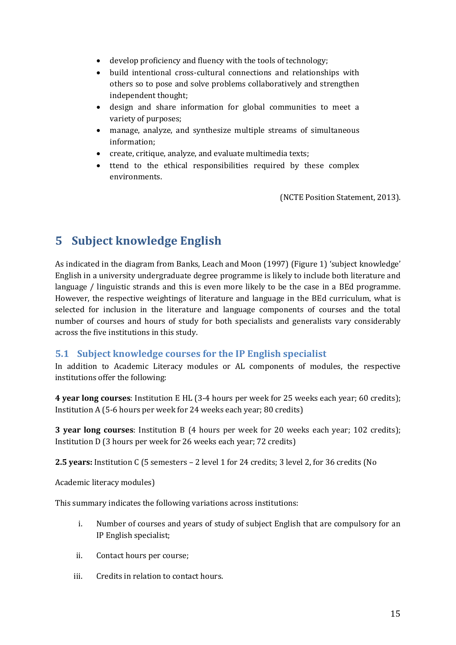- develop proficiency and fluency with the tools of technology;
- build intentional cross-cultural connections and relationships with others so to pose and solve problems collaboratively and strengthen independent thought;
- design and share information for global communities to meet a variety of purposes;
- manage, analyze, and synthesize multiple streams of simultaneous information;
- create, critique, analyze, and evaluate multimedia texts;
- ttend to the ethical responsibilities required by these complex environments.

(NCTE Position Statement, 2013).

## <span id="page-16-0"></span>**5 Subject knowledge English**

As indicated in the diagram from Banks, Leach and Moon (1997) [\(Figure 1\)](#page-6-1) 'subject knowledge' English in a university undergraduate degree programme is likely to include both literature and language / linguistic strands and this is even more likely to be the case in a BEd programme. However, the respective weightings of literature and language in the BEd curriculum, what is selected for inclusion in the literature and language components of courses and the total number of courses and hours of study for both specialists and generalists vary considerably across the five institutions in this study.

## <span id="page-16-1"></span>**5.1 Subject knowledge courses for the IP English specialist**

In addition to Academic Literacy modules or AL components of modules, the respective institutions offer the following:

**4 year long courses**: Institution E HL (3-4 hours per week for 25 weeks each year; 60 credits); Institution A (5-6 hours per week for 24 weeks each year; 80 credits)

**3 year long courses**: Institution B (4 hours per week for 20 weeks each year; 102 credits); Institution D (3 hours per week for 26 weeks each year; 72 credits)

**2.5 years:** Institution C (5 semesters – 2 level 1 for 24 credits; 3 level 2, for 36 credits (No

Academic literacy modules)

This summary indicates the following variations across institutions:

- i. Number of courses and years of study of subject English that are compulsory for an IP English specialist;
- ii. Contact hours per course;
- iii. Credits in relation to contact hours.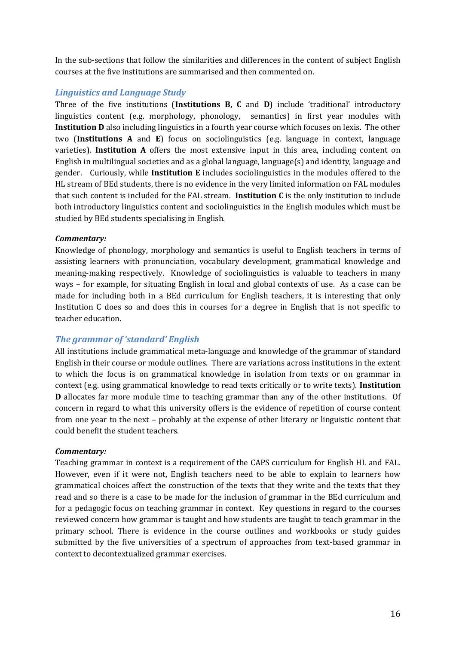In the sub-sections that follow the similarities and differences in the content of subject English courses at the five institutions are summarised and then commented on.

## *Linguistics and Language Study*

Three of the five institutions (**Institutions B, C** and **D**) include 'traditional' introductory linguistics content (e.g. morphology, phonology, semantics) in first year modules with **Institution D** also including linguistics in a fourth year course which focuses on lexis. The other two (**Institutions A** and **E**) focus on sociolinguistics (e.g. language in context, language varieties). **Institution A** offers the most extensive input in this area, including content on English in multilingual societies and as a global language, language(s) and identity, language and gender. Curiously, while **Institution E** includes sociolinguistics in the modules offered to the HL stream of BEd students, there is no evidence in the very limited information on FAL modules that such content is included for the FAL stream. **Institution C** is the only institution to include both introductory linguistics content and sociolinguistics in the English modules which must be studied by BEd students specialising in English.

## *Commentary:*

Knowledge of phonology, morphology and semantics is useful to English teachers in terms of assisting learners with pronunciation, vocabulary development, grammatical knowledge and meaning-making respectively. Knowledge of sociolinguistics is valuable to teachers in many ways – for example, for situating English in local and global contexts of use. As a case can be made for including both in a BEd curriculum for English teachers, it is interesting that only Institution C does so and does this in courses for a degree in English that is not specific to teacher education.

## *The grammar of 'standard' English*

All institutions include grammatical meta-language and knowledge of the grammar of standard English in their course or module outlines. There are variations across institutions in the extent to which the focus is on grammatical knowledge in isolation from texts or on grammar in context (e.g. using grammatical knowledge to read texts critically or to write texts). **Institution D** allocates far more module time to teaching grammar than any of the other institutions. Of concern in regard to what this university offers is the evidence of repetition of course content from one year to the next – probably at the expense of other literary or linguistic content that could benefit the student teachers.

### *Commentary:*

Teaching grammar in context is a requirement of the CAPS curriculum for English HL and FAL. However, even if it were not, English teachers need to be able to explain to learners how grammatical choices affect the construction of the texts that they write and the texts that they read and so there is a case to be made for the inclusion of grammar in the BEd curriculum and for a pedagogic focus on teaching grammar in context. Key questions in regard to the courses reviewed concern how grammar is taught and how students are taught to teach grammar in the primary school. There is evidence in the course outlines and workbooks or study guides submitted by the five universities of a spectrum of approaches from text-based grammar in context to decontextualized grammar exercises.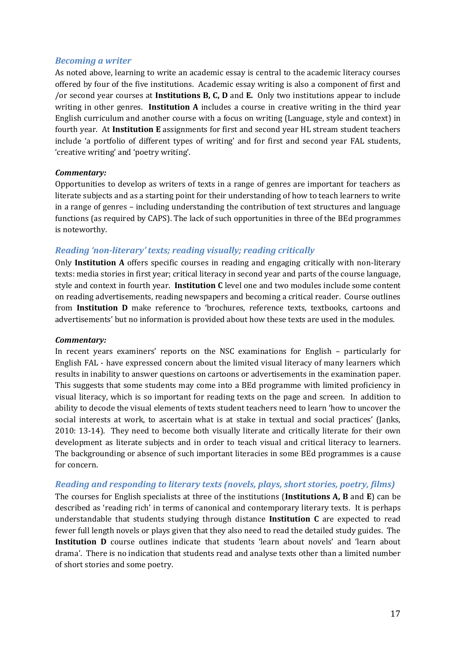### *Becoming a writer*

As noted above, learning to write an academic essay is central to the academic literacy courses offered by four of the five institutions. Academic essay writing is also a component of first and /or second year courses at **Institutions B, C, D** and **E.** Only two institutions appear to include writing in other genres. **Institution A** includes a course in creative writing in the third year English curriculum and another course with a focus on writing (Language, style and context) in fourth year. At **Institution E** assignments for first and second year HL stream student teachers include 'a portfolio of different types of writing' and for first and second year FAL students, 'creative writing' and 'poetry writing'.

## *Commentary:*

Opportunities to develop as writers of texts in a range of genres are important for teachers as literate subjects and as a starting point for their understanding of how to teach learners to write in a range of genres – including understanding the contribution of text structures and language functions (as required by CAPS). The lack of such opportunities in three of the BEd programmes is noteworthy.

## *Reading 'non-literary' texts; reading visually; reading critically*

Only **Institution A** offers specific courses in reading and engaging critically with non-literary texts: media stories in first year; critical literacy in second year and parts of the course language, style and context in fourth year. **Institution C** level one and two modules include some content on reading advertisements, reading newspapers and becoming a critical reader. Course outlines from **Institution D** make reference to 'brochures, reference texts, textbooks, cartoons and advertisements' but no information is provided about how these texts are used in the modules.

### *Commentary:*

In recent years examiners' reports on the NSC examinations for English – particularly for English FAL - have expressed concern about the limited visual literacy of many learners which results in inability to answer questions on cartoons or advertisements in the examination paper. This suggests that some students may come into a BEd programme with limited proficiency in visual literacy, which is so important for reading texts on the page and screen. In addition to ability to decode the visual elements of texts student teachers need to learn 'how to uncover the social interests at work, to ascertain what is at stake in textual and social practices' (Janks, 2010: 13-14). They need to become both visually literate and critically literate for their own development as literate subjects and in order to teach visual and critical literacy to learners. The backgrounding or absence of such important literacies in some BEd programmes is a cause for concern.

## *Reading and responding to literary texts (novels, plays, short stories, poetry, films)*

The courses for English specialists at three of the institutions (**Institutions A, B** and **E**) can be described as 'reading rich' in terms of canonical and contemporary literary texts. It is perhaps understandable that students studying through distance **Institution C** are expected to read fewer full length novels or plays given that they also need to read the detailed study guides. The **Institution D** course outlines indicate that students 'learn about novels' and 'learn about drama'. There is no indication that students read and analyse texts other than a limited number of short stories and some poetry.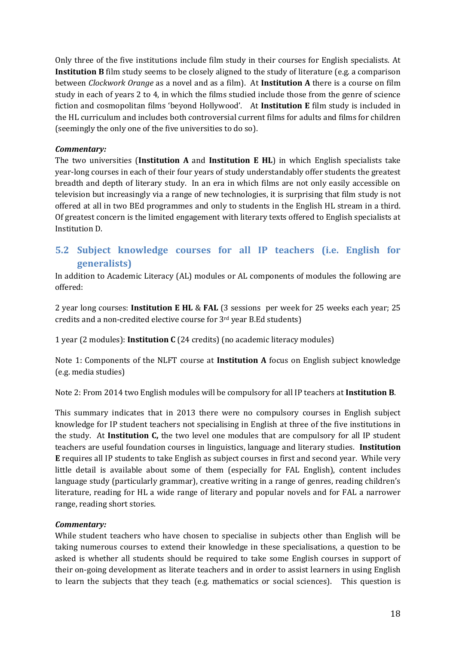Only three of the five institutions include film study in their courses for English specialists. At **Institution B** film study seems to be closely aligned to the study of literature (e.g. a comparison between *Clockwork Orange* as a novel and as a film). At **Institution A** there is a course on film study in each of years 2 to 4, in which the films studied include those from the genre of science fiction and cosmopolitan films 'beyond Hollywood'. At **Institution E** film study is included in the HL curriculum and includes both controversial current films for adults and films for children (seemingly the only one of the five universities to do so).

## *Commentary:*

The two universities (**Institution A** and **Institution E HL**) in which English specialists take year-long courses in each of their four years of study understandably offer students the greatest breadth and depth of literary study. In an era in which films are not only easily accessible on television but increasingly via a range of new technologies, it is surprising that film study is not offered at all in two BEd programmes and only to students in the English HL stream in a third. Of greatest concern is the limited engagement with literary texts offered to English specialists at Institution D.

## <span id="page-19-0"></span>**5.2 Subject knowledge courses for all IP teachers (i.e. English for generalists)**

In addition to Academic Literacy (AL) modules or AL components of modules the following are offered:

2 year long courses: **Institution E HL** & **FAL** (3 sessions per week for 25 weeks each year; 25 credits and a non-credited elective course for 3rd year B.Ed students)

1 year (2 modules): **Institution C** (24 credits) (no academic literacy modules)

Note 1: Components of the NLFT course at **Institution A** focus on English subject knowledge (e.g. media studies)

Note 2: From 2014 two English modules will be compulsory for all IP teachers at **Institution B**.

This summary indicates that in 2013 there were no compulsory courses in English subject knowledge for IP student teachers not specialising in English at three of the five institutions in the study. At **Institution C,** the two level one modules that are compulsory for all IP student teachers are useful foundation courses in linguistics, language and literary studies. **Institution E** requires all IP students to take English as subject courses in first and second year. While very little detail is available about some of them (especially for FAL English), content includes language study (particularly grammar), creative writing in a range of genres, reading children's literature, reading for HL a wide range of literary and popular novels and for FAL a narrower range, reading short stories.

### *Commentary:*

While student teachers who have chosen to specialise in subjects other than English will be taking numerous courses to extend their knowledge in these specialisations, a question to be asked is whether all students should be required to take some English courses in support of their on-going development as literate teachers and in order to assist learners in using English to learn the subjects that they teach (e.g. mathematics or social sciences). This question is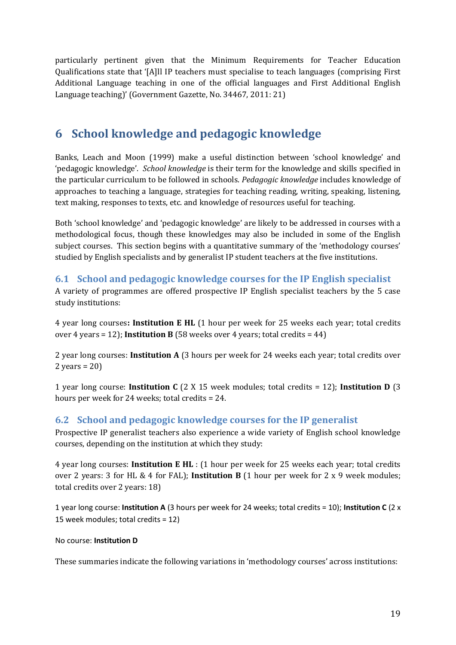particularly pertinent given that the Minimum Requirements for Teacher Education Qualifications state that '[A]ll IP teachers must specialise to teach languages (comprising First Additional Language teaching in one of the official languages and First Additional English Language teaching)' (Government Gazette, No. 34467, 2011: 21)

## <span id="page-20-0"></span>**6 School knowledge and pedagogic knowledge**

Banks, Leach and Moon (1999) make a useful distinction between 'school knowledge' and 'pedagogic knowledge'. *School knowledge* is their term for the knowledge and skills specified in the particular curriculum to be followed in schools. *Pedagogic knowledge* includes knowledge of approaches to teaching a language, strategies for teaching reading, writing, speaking, listening, text making, responses to texts, etc. and knowledge of resources useful for teaching.

Both 'school knowledge' and 'pedagogic knowledge' are likely to be addressed in courses with a methodological focus, though these knowledges may also be included in some of the English subject courses. This section begins with a quantitative summary of the 'methodology courses' studied by English specialists and by generalist IP student teachers at the five institutions.

## <span id="page-20-1"></span>**6.1 School and pedagogic knowledge courses for the IP English specialist**

A variety of programmes are offered prospective IP English specialist teachers by the 5 case study institutions:

4 year long courses**: Institution E HL** (1 hour per week for 25 weeks each year; total credits over 4 years = 12); **Institution B** (58 weeks over 4 years; total credits =  $44$ )

2 year long courses: **Institution A** (3 hours per week for 24 weeks each year; total credits over  $2$  years = 20)

1 year long course: **Institution C** (2 X 15 week modules; total credits = 12); **Institution D** (3 hours per week for 24 weeks; total credits = 24.

## <span id="page-20-2"></span>**6.2 School and pedagogic knowledge courses for the IP generalist**

Prospective IP generalist teachers also experience a wide variety of English school knowledge courses, depending on the institution at which they study:

4 year long courses: **Institution E HL** : (1 hour per week for 25 weeks each year; total credits over 2 years: 3 for HL & 4 for FAL); **Institution B** (1 hour per week for 2 x 9 week modules; total credits over 2 years: 18)

1 year long course: **Institution A** (3 hours per week for 24 weeks; total credits = 10); **Institution C** (2 x 15 week modules; total credits = 12)

### No course: **Institution D**

These summaries indicate the following variations in 'methodology courses' across institutions: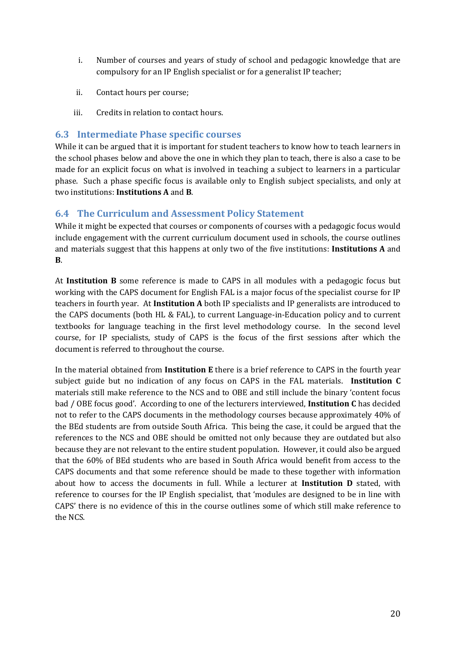- i. Number of courses and years of study of school and pedagogic knowledge that are compulsory for an IP English specialist or for a generalist IP teacher;
- ii. Contact hours per course;
- iii. Credits in relation to contact hours.

## <span id="page-21-0"></span>**6.3 Intermediate Phase specific courses**

While it can be argued that it is important for student teachers to know how to teach learners in the school phases below and above the one in which they plan to teach, there is also a case to be made for an explicit focus on what is involved in teaching a subject to learners in a particular phase. Such a phase specific focus is available only to English subject specialists, and only at two institutions: **Institutions A** and **B**.

## <span id="page-21-1"></span>**6.4 The Curriculum and Assessment Policy Statement**

While it might be expected that courses or components of courses with a pedagogic focus would include engagement with the current curriculum document used in schools, the course outlines and materials suggest that this happens at only two of the five institutions: **Institutions A** and **B**.

At **Institution B** some reference is made to CAPS in all modules with a pedagogic focus but working with the CAPS document for English FAL is a major focus of the specialist course for IP teachers in fourth year. At **Institution A** both IP specialists and IP generalists are introduced to the CAPS documents (both HL & FAL), to current Language-in-Education policy and to current textbooks for language teaching in the first level methodology course. In the second level course, for IP specialists, study of CAPS is the focus of the first sessions after which the document is referred to throughout the course.

In the material obtained from **Institution E** there is a brief reference to CAPS in the fourth year subject guide but no indication of any focus on CAPS in the FAL materials. **Institution C**  materials still make reference to the NCS and to OBE and still include the binary 'content focus bad / OBE focus good'. According to one of the lecturers interviewed, **Institution C** has decided not to refer to the CAPS documents in the methodology courses because approximately 40% of the BEd students are from outside South Africa. This being the case, it could be argued that the references to the NCS and OBE should be omitted not only because they are outdated but also because they are not relevant to the entire student population. However, it could also be argued that the 60% of BEd students who are based in South Africa would benefit from access to the CAPS documents and that some reference should be made to these together with information about how to access the documents in full. While a lecturer at **Institution D** stated, with reference to courses for the IP English specialist, that 'modules are designed to be in line with CAPS' there is no evidence of this in the course outlines some of which still make reference to the NCS.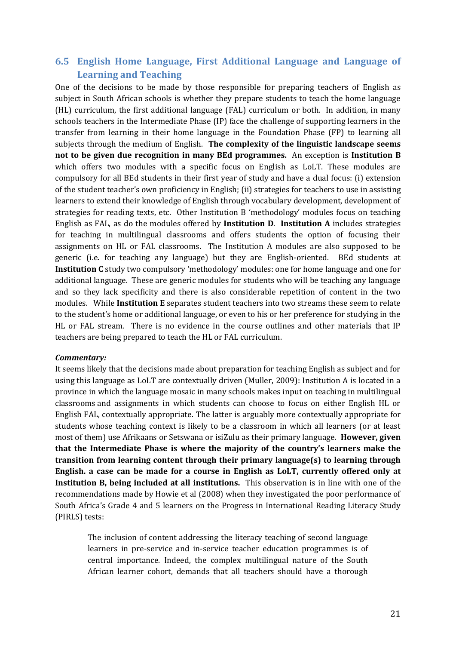## <span id="page-22-0"></span>**6.5 English Home Language, First Additional Language and Language of Learning and Teaching**

One of the decisions to be made by those responsible for preparing teachers of English as subject in South African schools is whether they prepare students to teach the home language (HL) curriculum, the first additional language (FAL) curriculum or both. In addition, in many schools teachers in the Intermediate Phase (IP) face the challenge of supporting learners in the transfer from learning in their home language in the Foundation Phase (FP) to learning all subjects through the medium of English. **The complexity of the linguistic landscape seems not to be given due recognition in many BEd programmes.** An exception is **Institution B** which offers two modules with a specific focus on English as LoLT. These modules are compulsory for all BEd students in their first year of study and have a dual focus: (i) extension of the student teacher's own proficiency in English; (ii) strategies for teachers to use in assisting learners to extend their knowledge of English through vocabulary development, development of strategies for reading texts, etc. Other Institution B 'methodology' modules focus on teaching English as FAL, as do the modules offered by **Institution D**. **Institution A** includes strategies for teaching in multilingual classrooms and offers students the option of focusing their assignments on HL or FAL classrooms. The Institution A modules are also supposed to be generic (i.e. for teaching any language) but they are English-oriented. BEd students at **Institution C** study two compulsory 'methodology' modules: one for home language and one for additional language. These are generic modules for students who will be teaching any language and so they lack specificity and there is also considerable repetition of content in the two modules. While **Institution E** separates student teachers into two streams these seem to relate to the student's home or additional language, or even to his or her preference for studying in the HL or FAL stream. There is no evidence in the course outlines and other materials that IP teachers are being prepared to teach the HL or FAL curriculum.

#### *Commentary:*

It seems likely that the decisions made about preparation for teaching English as subject and for using this language as LoLT are contextually driven (Muller, 2009): Institution A is located in a province in which the language mosaic in many schools makes input on teaching in multilingual classrooms and assignments in which students can choose to focus on either English HL or English FAL, contextually appropriate. The latter is arguably more contextually appropriate for students whose teaching context is likely to be a classroom in which all learners (or at least most of them) use Afrikaans or Setswana or isiZulu as their primary language. **However, given that the Intermediate Phase is where the majority of the country's learners make the transition from learning content through their primary language(s) to learning through English. a case can be made for a course in English as LoLT, currently offered only at Institution B, being included at all institutions.** This observation is in line with one of the recommendations made by Howie et al (2008) when they investigated the poor performance of South Africa's Grade 4 and 5 learners on the Progress in International Reading Literacy Study (PIRLS) tests:

The inclusion of content addressing the literacy teaching of second language learners in pre-service and in-service teacher education programmes is of central importance. Indeed, the complex multilingual nature of the South African learner cohort, demands that all teachers should have a thorough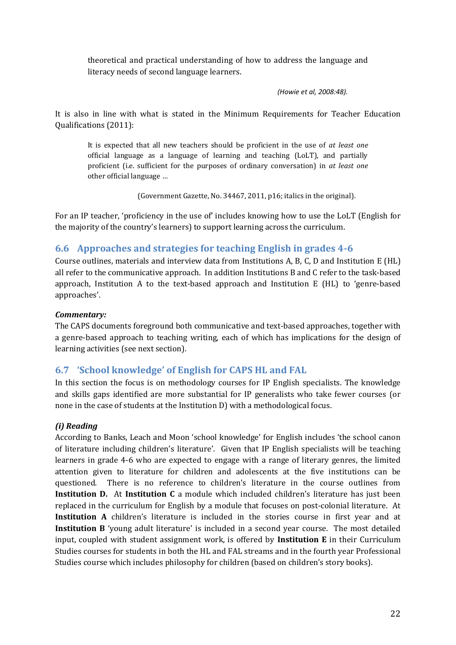theoretical and practical understanding of how to address the language and literacy needs of second language learners.

*(Howie et al, 2008:48).*

It is also in line with what is stated in the Minimum Requirements for Teacher Education Qualifications (2011):

It is expected that all new teachers should be proficient in the use of *at least one* official language as a language of learning and teaching (LoLT), and partially proficient (i.e. sufficient for the purposes of ordinary conversation) in *at least one* other official language …

(Government Gazette, No. 34467, 2011, p16; italics in the original).

For an IP teacher, 'proficiency in the use of' includes knowing how to use the LoLT (English for the majority of the country's learners) to support learning across the curriculum.

## <span id="page-23-0"></span>**6.6 Approaches and strategies for teaching English in grades 4-6**

Course outlines, materials and interview data from Institutions A, B, C, D and Institution E (HL) all refer to the communicative approach. In addition Institutions B and C refer to the task-based approach, Institution A to the text-based approach and Institution E (HL) to 'genre-based approaches'.

### *Commentary:*

The CAPS documents foreground both communicative and text-based approaches, together with a genre-based approach to teaching writing, each of which has implications for the design of learning activities (see next section).

## <span id="page-23-1"></span>**6.7 'School knowledge' of English for CAPS HL and FAL**

In this section the focus is on methodology courses for IP English specialists. The knowledge and skills gaps identified are more substantial for IP generalists who take fewer courses (or none in the case of students at the Institution D) with a methodological focus.

### *(i) Reading*

According to Banks, Leach and Moon 'school knowledge' for English includes 'the school canon of literature including children's literature'. Given that IP English specialists will be teaching learners in grade 4-6 who are expected to engage with a range of literary genres, the limited attention given to literature for children and adolescents at the five institutions can be questioned. There is no reference to children's literature in the course outlines from **Institution D.** At **Institution C** a module which included children's literature has just been replaced in the curriculum for English by a module that focuses on post-colonial literature. At **Institution A** children's literature is included in the stories course in first year and at **Institution B** 'young adult literature' is included in a second year course. The most detailed input, coupled with student assignment work, is offered by **Institution E** in their Curriculum Studies courses for students in both the HL and FAL streams and in the fourth year Professional Studies course which includes philosophy for children (based on children's story books).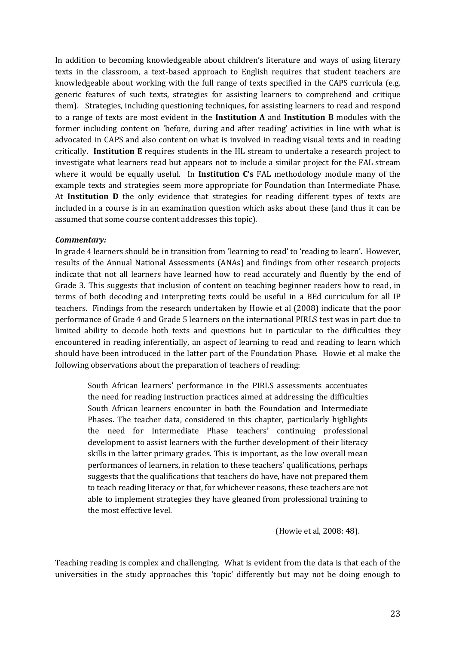In addition to becoming knowledgeable about children's literature and ways of using literary texts in the classroom, a text-based approach to English requires that student teachers are knowledgeable about working with the full range of texts specified in the CAPS curricula (e.g. generic features of such texts, strategies for assisting learners to comprehend and critique them). Strategies, including questioning techniques, for assisting learners to read and respond to a range of texts are most evident in the **Institution A** and **Institution B** modules with the former including content on 'before, during and after reading' activities in line with what is advocated in CAPS and also content on what is involved in reading visual texts and in reading critically. **Institution E** requires students in the HL stream to undertake a research project to investigate what learners read but appears not to include a similar project for the FAL stream where it would be equally useful. In **Institution C's** FAL methodology module many of the example texts and strategies seem more appropriate for Foundation than Intermediate Phase. At **Institution D** the only evidence that strategies for reading different types of texts are included in a course is in an examination question which asks about these (and thus it can be assumed that some course content addresses this topic).

#### *Commentary:*

In grade 4 learners should be in transition from 'learning to read' to 'reading to learn'. However, results of the Annual National Assessments (ANAs) and findings from other research projects indicate that not all learners have learned how to read accurately and fluently by the end of Grade 3. This suggests that inclusion of content on teaching beginner readers how to read, in terms of both decoding and interpreting texts could be useful in a BEd curriculum for all IP teachers. Findings from the research undertaken by Howie et al (2008) indicate that the poor performance of Grade 4 and Grade 5 learners on the international PIRLS test was in part due to limited ability to decode both texts and questions but in particular to the difficulties they encountered in reading inferentially, an aspect of learning to read and reading to learn which should have been introduced in the latter part of the Foundation Phase. Howie et al make the following observations about the preparation of teachers of reading:

South African learners' performance in the PIRLS assessments accentuates the need for reading instruction practices aimed at addressing the difficulties South African learners encounter in both the Foundation and Intermediate Phases. The teacher data, considered in this chapter, particularly highlights the need for Intermediate Phase teachers' continuing professional development to assist learners with the further development of their literacy skills in the latter primary grades. This is important, as the low overall mean performances of learners, in relation to these teachers' qualifications, perhaps suggests that the qualifications that teachers do have, have not prepared them to teach reading literacy or that, for whichever reasons, these teachers are not able to implement strategies they have gleaned from professional training to the most effective level.

(Howie et al, 2008: 48).

Teaching reading is complex and challenging. What is evident from the data is that each of the universities in the study approaches this 'topic' differently but may not be doing enough to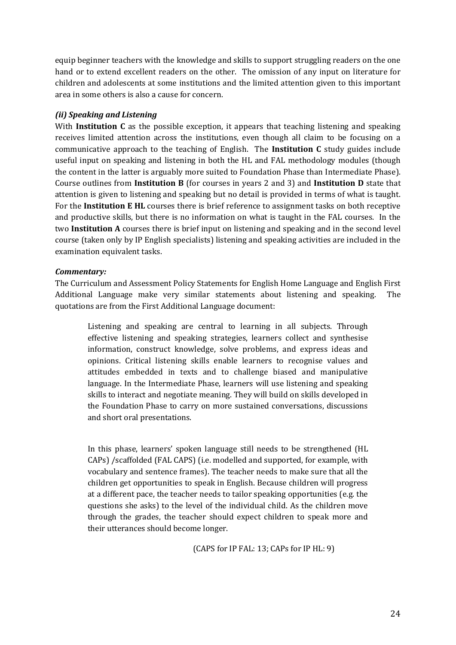equip beginner teachers with the knowledge and skills to support struggling readers on the one hand or to extend excellent readers on the other. The omission of any input on literature for children and adolescents at some institutions and the limited attention given to this important area in some others is also a cause for concern.

## *(ii) Speaking and Listening*

With **Institution C** as the possible exception, it appears that teaching listening and speaking receives limited attention across the institutions, even though all claim to be focusing on a communicative approach to the teaching of English. The **Institution C** study guides include useful input on speaking and listening in both the HL and FAL methodology modules (though the content in the latter is arguably more suited to Foundation Phase than Intermediate Phase). Course outlines from **Institution B** (for courses in years 2 and 3) and **Institution D** state that attention is given to listening and speaking but no detail is provided in terms of what is taught. For the **Institution E HL** courses there is brief reference to assignment tasks on both receptive and productive skills, but there is no information on what is taught in the FAL courses. In the two **Institution A** courses there is brief input on listening and speaking and in the second level course (taken only by IP English specialists) listening and speaking activities are included in the examination equivalent tasks.

### *Commentary:*

The Curriculum and Assessment Policy Statements for English Home Language and English First Additional Language make very similar statements about listening and speaking. The quotations are from the First Additional Language document:

Listening and speaking are central to learning in all subjects. Through effective listening and speaking strategies, learners collect and synthesise information, construct knowledge, solve problems, and express ideas and opinions. Critical listening skills enable learners to recognise values and attitudes embedded in texts and to challenge biased and manipulative language. In the Intermediate Phase, learners will use listening and speaking skills to interact and negotiate meaning. They will build on skills developed in the Foundation Phase to carry on more sustained conversations, discussions and short oral presentations.

In this phase, learners' spoken language still needs to be strengthened (HL CAPs) /scaffolded (FAL CAPS) (i.e. modelled and supported, for example, with vocabulary and sentence frames). The teacher needs to make sure that all the children get opportunities to speak in English. Because children will progress at a different pace, the teacher needs to tailor speaking opportunities (e.g. the questions she asks) to the level of the individual child. As the children move through the grades, the teacher should expect children to speak more and their utterances should become longer.

(CAPS for IP FAL: 13; CAPs for IP HL: 9)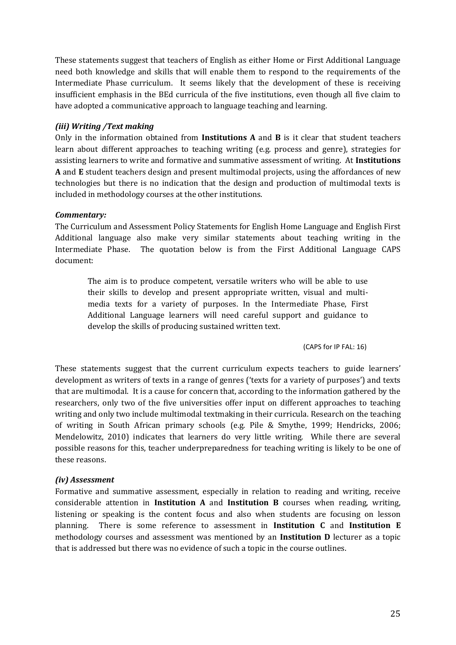These statements suggest that teachers of English as either Home or First Additional Language need both knowledge and skills that will enable them to respond to the requirements of the Intermediate Phase curriculum. It seems likely that the development of these is receiving insufficient emphasis in the BEd curricula of the five institutions, even though all five claim to have adopted a communicative approach to language teaching and learning.

## *(iii) Writing /Text making*

Only in the information obtained from **Institutions A** and **B** is it clear that student teachers learn about different approaches to teaching writing (e.g. process and genre), strategies for assisting learners to write and formative and summative assessment of writing. At **Institutions A** and **E** student teachers design and present multimodal projects, using the affordances of new technologies but there is no indication that the design and production of multimodal texts is included in methodology courses at the other institutions.

### *Commentary:*

The Curriculum and Assessment Policy Statements for English Home Language and English First Additional language also make very similar statements about teaching writing in the Intermediate Phase. The quotation below is from the First Additional Language CAPS document:

The aim is to produce competent, versatile writers who will be able to use their skills to develop and present appropriate written, visual and multimedia texts for a variety of purposes. In the Intermediate Phase, First Additional Language learners will need careful support and guidance to develop the skills of producing sustained written text.

(CAPS for IP FAL: 16)

These statements suggest that the current curriculum expects teachers to guide learners' development as writers of texts in a range of genres ('texts for a variety of purposes') and texts that are multimodal. It is a cause for concern that, according to the information gathered by the researchers, only two of the five universities offer input on different approaches to teaching writing and only two include multimodal textmaking in their curricula. Research on the teaching of writing in South African primary schools (e.g. Pile & Smythe, 1999; Hendricks, 2006; Mendelowitz, 2010) indicates that learners do very little writing. While there are several possible reasons for this, teacher underpreparedness for teaching writing is likely to be one of these reasons.

### *(iv) Assessment*

Formative and summative assessment, especially in relation to reading and writing, receive considerable attention in **Institution A** and **Institution B** courses when reading, writing, listening or speaking is the content focus and also when students are focusing on lesson planning. There is some reference to assessment in **Institution C** and **Institution E** methodology courses and assessment was mentioned by an **Institution D** lecturer as a topic that is addressed but there was no evidence of such a topic in the course outlines.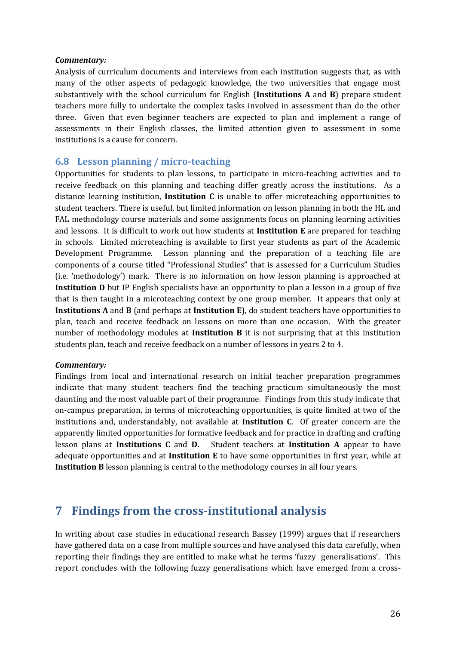#### *Commentary:*

Analysis of curriculum documents and interviews from each institution suggests that, as with many of the other aspects of pedagogic knowledge, the two universities that engage most substantively with the school curriculum for English (**Institutions A** and **B**) prepare student teachers more fully to undertake the complex tasks involved in assessment than do the other three. Given that even beginner teachers are expected to plan and implement a range of assessments in their English classes, the limited attention given to assessment in some institutions is a cause for concern.

#### <span id="page-27-0"></span>**6.8 Lesson planning / micro-teaching**

Opportunities for students to plan lessons, to participate in micro-teaching activities and to receive feedback on this planning and teaching differ greatly across the institutions. As a distance learning institution, **Institution C** is unable to offer microteaching opportunities to student teachers. There is useful, but limited information on lesson planning in both the HL and FAL methodology course materials and some assignments focus on planning learning activities and lessons. It is difficult to work out how students at **Institution E** are prepared for teaching in schools. Limited microteaching is available to first year students as part of the Academic Development Programme. Lesson planning and the preparation of a teaching file are components of a course titled "Professional Studies" that is assessed for a Curriculum Studies (i.e. 'methodology') mark. There is no information on how lesson planning is approached at **Institution D** but IP English specialists have an opportunity to plan a lesson in a group of five that is then taught in a microteaching context by one group member. It appears that only at **Institutions A** and **B** (and perhaps at **Institution E**), do student teachers have opportunities to plan, teach and receive feedback on lessons on more than one occasion. With the greater number of methodology modules at **Institution B** it is not surprising that at this institution students plan, teach and receive feedback on a number of lessons in years 2 to 4.

#### *Commentary:*

Findings from local and international research on initial teacher preparation programmes indicate that many student teachers find the teaching practicum simultaneously the most daunting and the most valuable part of their programme. Findings from this study indicate that on-campus preparation, in terms of microteaching opportunities, is quite limited at two of the institutions and, understandably, not available at **Institution C**. Of greater concern are the apparently limited opportunities for formative feedback and for practice in drafting and crafting lesson plans at **Institutions C** and **D.** Student teachers at **Institution A** appear to have adequate opportunities and at **Institution E** to have some opportunities in first year, while at **Institution B** lesson planning is central to the methodology courses in all four years.

## <span id="page-27-1"></span>**7 Findings from the cross-institutional analysis**

In writing about case studies in educational research Bassey (1999) argues that if researchers have gathered data on a case from multiple sources and have analysed this data carefully, when reporting their findings they are entitled to make what he terms 'fuzzy generalisations'. This report concludes with the following fuzzy generalisations which have emerged from a cross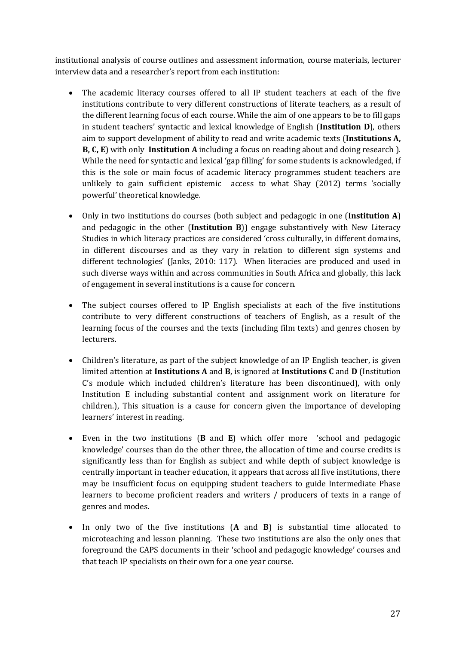institutional analysis of course outlines and assessment information, course materials, lecturer interview data and a researcher's report from each institution:

- The academic literacy courses offered to all IP student teachers at each of the five institutions contribute to very different constructions of literate teachers, as a result of the different learning focus of each course. While the aim of one appears to be to fill gaps in student teachers' syntactic and lexical knowledge of English (**Institution D**), others aim to support development of ability to read and write academic texts (**Institutions A, B, C, E**) with only **Institution A** including a focus on reading about and doing research ). While the need for syntactic and lexical 'gap filling' for some students is acknowledged, if this is the sole or main focus of academic literacy programmes student teachers are unlikely to gain sufficient epistemic access to what Shay (2012) terms 'socially powerful' theoretical knowledge.
- Only in two institutions do courses (both subject and pedagogic in one (**Institution A**) and pedagogic in the other (**Institution B**)) engage substantively with New Literacy Studies in which literacy practices are considered 'cross culturally, in different domains, in different discourses and as they vary in relation to different sign systems and different technologies' (Janks, 2010: 117). When literacies are produced and used in such diverse ways within and across communities in South Africa and globally, this lack of engagement in several institutions is a cause for concern.
- The subject courses offered to IP English specialists at each of the five institutions contribute to very different constructions of teachers of English, as a result of the learning focus of the courses and the texts (including film texts) and genres chosen by lecturers.
- Children's literature, as part of the subject knowledge of an IP English teacher, is given limited attention at **Institutions A** and **B**, is ignored at **Institutions C** and **D** (Institution C's module which included children's literature has been discontinued), with only Institution E including substantial content and assignment work on literature for children.), This situation is a cause for concern given the importance of developing learners' interest in reading.
- Even in the two institutions (**B** and **E**) which offer more 'school and pedagogic knowledge' courses than do the other three, the allocation of time and course credits is significantly less than for English as subject and while depth of subject knowledge is centrally important in teacher education, it appears that across all five institutions, there may be insufficient focus on equipping student teachers to guide Intermediate Phase learners to become proficient readers and writers / producers of texts in a range of genres and modes.
- In only two of the five institutions (**A** and **B**) is substantial time allocated to microteaching and lesson planning. These two institutions are also the only ones that foreground the CAPS documents in their 'school and pedagogic knowledge' courses and that teach IP specialists on their own for a one year course.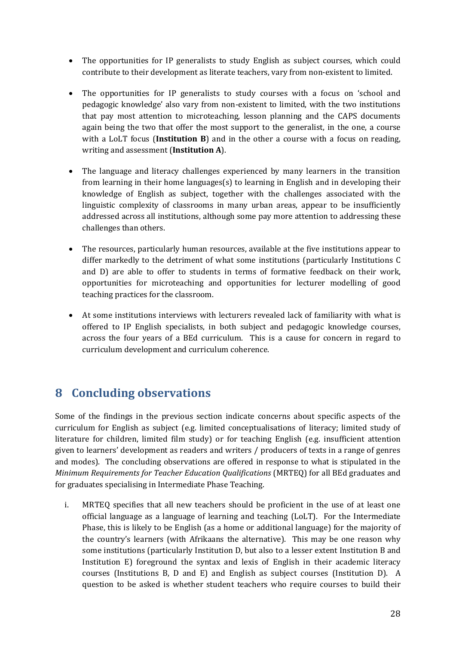- The opportunities for IP generalists to study English as subject courses, which could contribute to their development as literate teachers, vary from non-existent to limited.
- The opportunities for IP generalists to study courses with a focus on 'school and pedagogic knowledge' also vary from non-existent to limited, with the two institutions that pay most attention to microteaching, lesson planning and the CAPS documents again being the two that offer the most support to the generalist, in the one, a course with a LoLT focus (**Institution B**) and in the other a course with a focus on reading, writing and assessment (**Institution A**).
- The language and literacy challenges experienced by many learners in the transition from learning in their home languages(s) to learning in English and in developing their knowledge of English as subject, together with the challenges associated with the linguistic complexity of classrooms in many urban areas, appear to be insufficiently addressed across all institutions, although some pay more attention to addressing these challenges than others.
- The resources, particularly human resources, available at the five institutions appear to differ markedly to the detriment of what some institutions (particularly Institutions C and D) are able to offer to students in terms of formative feedback on their work, opportunities for microteaching and opportunities for lecturer modelling of good teaching practices for the classroom.
- At some institutions interviews with lecturers revealed lack of familiarity with what is offered to IP English specialists, in both subject and pedagogic knowledge courses, across the four years of a BEd curriculum. This is a cause for concern in regard to curriculum development and curriculum coherence.

## <span id="page-29-0"></span>**8 Concluding observations**

Some of the findings in the previous section indicate concerns about specific aspects of the curriculum for English as subject (e.g. limited conceptualisations of literacy; limited study of literature for children, limited film study) or for teaching English (e.g. insufficient attention given to learners' development as readers and writers / producers of texts in a range of genres and modes). The concluding observations are offered in response to what is stipulated in the *Minimum Requirements for Teacher Education Qualifications* (MRTEQ) for all BEd graduates and for graduates specialising in Intermediate Phase Teaching.

i. MRTEQ specifies that all new teachers should be proficient in the use of at least one official language as a language of learning and teaching (LoLT). For the Intermediate Phase, this is likely to be English (as a home or additional language) for the majority of the country's learners (with Afrikaans the alternative). This may be one reason why some institutions (particularly Institution D, but also to a lesser extent Institution B and Institution E) foreground the syntax and lexis of English in their academic literacy courses (Institutions B, D and E) and English as subject courses (Institution D). A question to be asked is whether student teachers who require courses to build their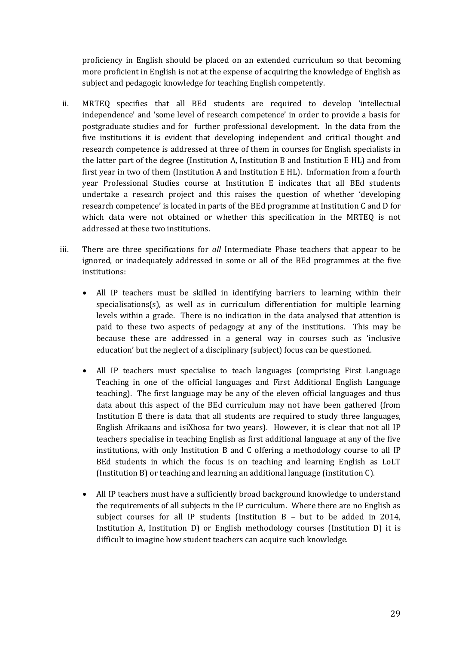proficiency in English should be placed on an extended curriculum so that becoming more proficient in English is not at the expense of acquiring the knowledge of English as subject and pedagogic knowledge for teaching English competently.

- ii. MRTEQ specifies that all BEd students are required to develop 'intellectual independence' and 'some level of research competence' in order to provide a basis for postgraduate studies and for further professional development. In the data from the five institutions it is evident that developing independent and critical thought and research competence is addressed at three of them in courses for English specialists in the latter part of the degree (Institution A, Institution B and Institution E HL) and from first year in two of them (Institution A and Institution E HL). Information from a fourth year Professional Studies course at Institution E indicates that all BEd students undertake a research project and this raises the question of whether 'developing research competence' is located in parts of the BEd programme at Institution C and D for which data were not obtained or whether this specification in the MRTEQ is not addressed at these two institutions.
- iii. There are three specifications for *all* Intermediate Phase teachers that appear to be ignored, or inadequately addressed in some or all of the BEd programmes at the five institutions:
	- All IP teachers must be skilled in identifying barriers to learning within their specialisations(s), as well as in curriculum differentiation for multiple learning levels within a grade. There is no indication in the data analysed that attention is paid to these two aspects of pedagogy at any of the institutions. This may be because these are addressed in a general way in courses such as 'inclusive education' but the neglect of a disciplinary (subject) focus can be questioned.
	- All IP teachers must specialise to teach languages (comprising First Language Teaching in one of the official languages and First Additional English Language teaching). The first language may be any of the eleven official languages and thus data about this aspect of the BEd curriculum may not have been gathered (from Institution E there is data that all students are required to study three languages, English Afrikaans and isiXhosa for two years). However, it is clear that not all IP teachers specialise in teaching English as first additional language at any of the five institutions, with only Institution B and C offering a methodology course to all IP BEd students in which the focus is on teaching and learning English as LoLT (Institution B) or teaching and learning an additional language (institution C).
	- All IP teachers must have a sufficiently broad background knowledge to understand the requirements of all subjects in the IP curriculum. Where there are no English as subject courses for all IP students (Institution  $B -$  but to be added in 2014, Institution A, Institution D) or English methodology courses (Institution D) it is difficult to imagine how student teachers can acquire such knowledge.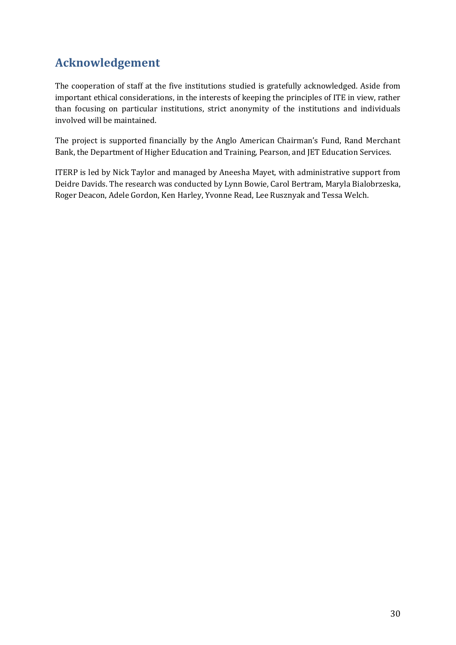## <span id="page-31-0"></span>**Acknowledgement**

The cooperation of staff at the five institutions studied is gratefully acknowledged. Aside from important ethical considerations, in the interests of keeping the principles of ITE in view, rather than focusing on particular institutions, strict anonymity of the institutions and individuals involved will be maintained.

The project is supported financially by the Anglo American Chairman's Fund, Rand Merchant Bank, the Department of Higher Education and Training, Pearson, and JET Education Services.

ITERP is led by Nick Taylor and managed by Aneesha Mayet, with administrative support from Deidre Davids. The research was conducted by Lynn Bowie, Carol Bertram, Maryla Bialobrzeska, Roger Deacon, Adele Gordon, Ken Harley, Yvonne Read, Lee Rusznyak and Tessa Welch.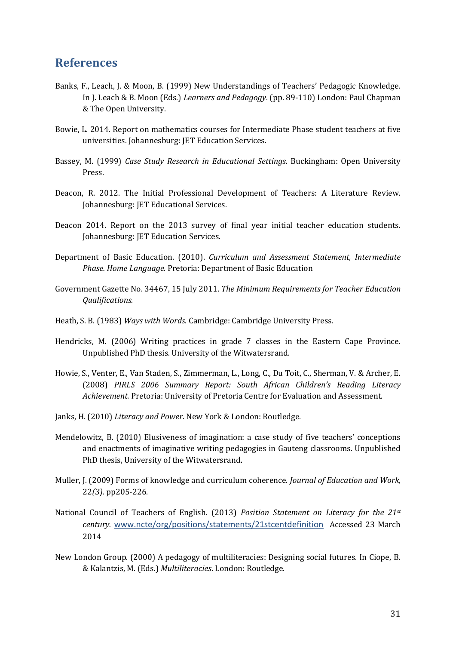## <span id="page-32-0"></span>**References**

- Banks, F., Leach, J. & Moon, B. (1999) New Understandings of Teachers' Pedagogic Knowledge. In J. Leach & B. Moon (Eds.) *Learners and Pedagogy*. (pp. 89-110) London: Paul Chapman & The Open University.
- Bowie, L. 2014. Report on mathematics courses for Intermediate Phase student teachers at five universities. Johannesburg: JET Education Services.
- Bassey, M. (1999) *Case Study Research in Educational Settings*. Buckingham: Open University Press.
- Deacon, R. 2012. The Initial Professional Development of Teachers: A Literature Review. Johannesburg: JET Educational Services.
- Deacon 2014. Report on the 2013 survey of final year initial teacher education students. Johannesburg: JET Education Services.
- Department of Basic Education. (2010). *Curriculum and Assessment Statement, Intermediate Phase. Home Language.* Pretoria: Department of Basic Education
- Government Gazette No. 34467, 15 July 2011. *The Minimum Requirements for Teacher Education Qualifications.*
- Heath, S. B. (1983) *Ways with Words*. Cambridge: Cambridge University Press.
- Hendricks, M. (2006) Writing practices in grade 7 classes in the Eastern Cape Province. Unpublished PhD thesis. University of the Witwatersrand.
- Howie, S., Venter, E., Van Staden, S., Zimmerman, L., Long, C., Du Toit, C., Sherman, V. & Archer, E. (2008) *PIRLS 2006 Summary Report: South African Children's Reading Literacy Achievement.* Pretoria: University of Pretoria Centre for Evaluation and Assessment.
- Janks, H. (2010) *Literacy and Power*. New York & London: Routledge.
- Mendelowitz, B. (2010) Elusiveness of imagination: a case study of five teachers' conceptions and enactments of imaginative writing pedagogies in Gauteng classrooms. Unpublished PhD thesis, University of the Witwatersrand.
- Muller, J. (2009) Forms of knowledge and curriculum coherence. *Journal of Education and Work,* 22*(3).* pp205-226.
- National Council of Teachers of English. (2013) *Position Statement on Literacy for the 21st century.* [www.ncte/org/positions/statements/21stcentdefinition](http://www.ncte/org/positions/statements/21stcentdefinition) Accessed 23 March 2014
- New London Group. (2000) A pedagogy of multiliteracies: Designing social futures. In Ciope, B. & Kalantzis, M. (Eds.) *Multiliteracies*. London: Routledge.